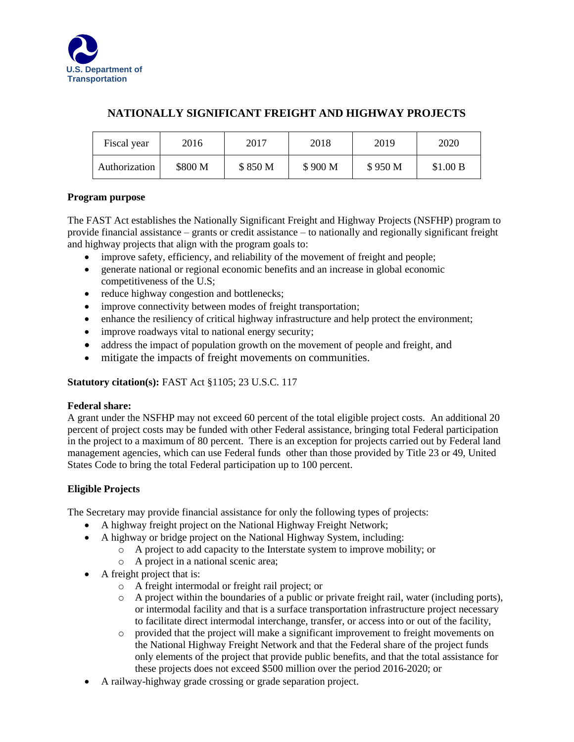

# **NATIONALLY SIGNIFICANT FREIGHT AND HIGHWAY PROJECTS**

| Fiscal year   | 2016    | 2017    | 2018    | 2019    | 2020     |
|---------------|---------|---------|---------|---------|----------|
| Authorization | \$800 M | \$850 M | \$900 M | \$950 M | \$1.00 B |

# **Program purpose**

The FAST Act establishes the Nationally Significant Freight and Highway Projects (NSFHP) program to provide financial assistance – grants or credit assistance – to nationally and regionally significant freight and highway projects that align with the program goals to:

- improve safety, efficiency, and reliability of the movement of freight and people;
- generate national or regional economic benefits and an increase in global economic competitiveness of the U.S;
- reduce highway congestion and bottlenecks;
- improve connectivity between modes of freight transportation;
- enhance the resiliency of critical highway infrastructure and help protect the environment;
- improve roadways vital to national energy security;
- address the impact of population growth on the movement of people and freight, and
- mitigate the impacts of freight movements on communities.

### **Statutory citation(s):** FAST Act §1105; 23 U.S.C. 117

### **Federal share:**

A grant under the NSFHP may not exceed 60 percent of the total eligible project costs. An additional 20 percent of project costs may be funded with other Federal assistance, bringing total Federal participation in the project to a maximum of 80 percent. There is an exception for projects carried out by Federal land management agencies, which can use Federal funds other than those provided by Title 23 or 49, United States Code to bring the total Federal participation up to 100 percent.

### **Eligible Projects**

The Secretary may provide financial assistance for only the following types of projects:

- A highway freight project on the National Highway Freight Network;
- A highway or bridge project on the National Highway System, including:
	- o A project to add capacity to the Interstate system to improve mobility; or
		- o A project in a national scenic area;
- A freight project that is:
	- o A freight intermodal or freight rail project; or
	- o A project within the boundaries of a public or private freight rail, water (including ports), or intermodal facility and that is a surface transportation infrastructure project necessary to facilitate direct intermodal interchange, transfer, or access into or out of the facility,
	- o provided that the project will make a significant improvement to freight movements on the National Highway Freight Network and that the Federal share of the project funds only elements of the project that provide public benefits, and that the total assistance for these projects does not exceed \$500 million over the period 2016-2020; or
- A railway-highway grade crossing or grade separation project.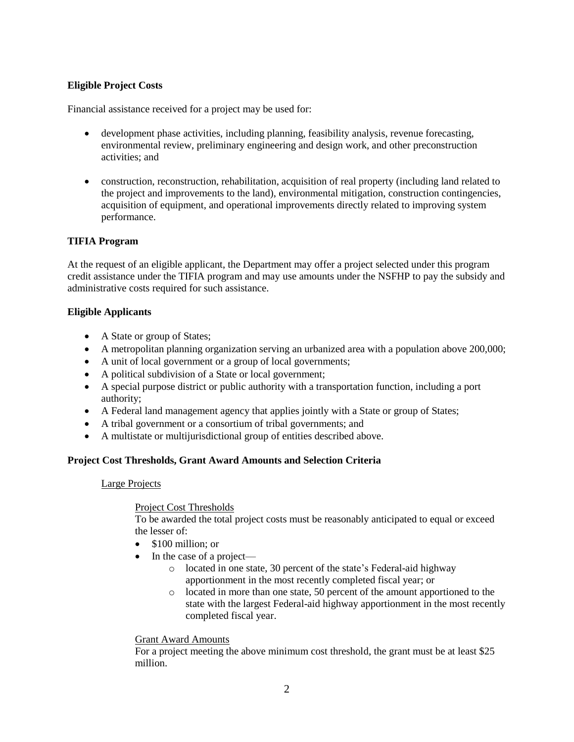# **Eligible Project Costs**

Financial assistance received for a project may be used for:

- development phase activities, including planning, feasibility analysis, revenue forecasting, environmental review, preliminary engineering and design work, and other preconstruction activities; and
- construction, reconstruction, rehabilitation, acquisition of real property (including land related to the project and improvements to the land), environmental mitigation, construction contingencies, acquisition of equipment, and operational improvements directly related to improving system performance.

### **TIFIA Program**

At the request of an eligible applicant, the Department may offer a project selected under this program credit assistance under the TIFIA program and may use amounts under the NSFHP to pay the subsidy and administrative costs required for such assistance.

### **Eligible Applicants**

- A State or group of States;
- A metropolitan planning organization serving an urbanized area with a population above 200,000;
- A unit of local government or a group of local governments;
- A political subdivision of a State or local government;
- A special purpose district or public authority with a transportation function, including a port authority;
- A Federal land management agency that applies jointly with a State or group of States;
- A tribal government or a consortium of tribal governments; and
- A multistate or multijurisdictional group of entities described above.

### **Project Cost Thresholds, Grant Award Amounts and Selection Criteria**

#### Large Projects

#### Project Cost Thresholds

To be awarded the total project costs must be reasonably anticipated to equal or exceed the lesser of:

- $\bullet$  \$100 million; or
- In the case of a project
	- o located in one state, 30 percent of the state's Federal-aid highway apportionment in the most recently completed fiscal year; or
	- o located in more than one state, 50 percent of the amount apportioned to the state with the largest Federal-aid highway apportionment in the most recently completed fiscal year.

#### Grant Award Amounts

For a project meeting the above minimum cost threshold, the grant must be at least \$25 million.